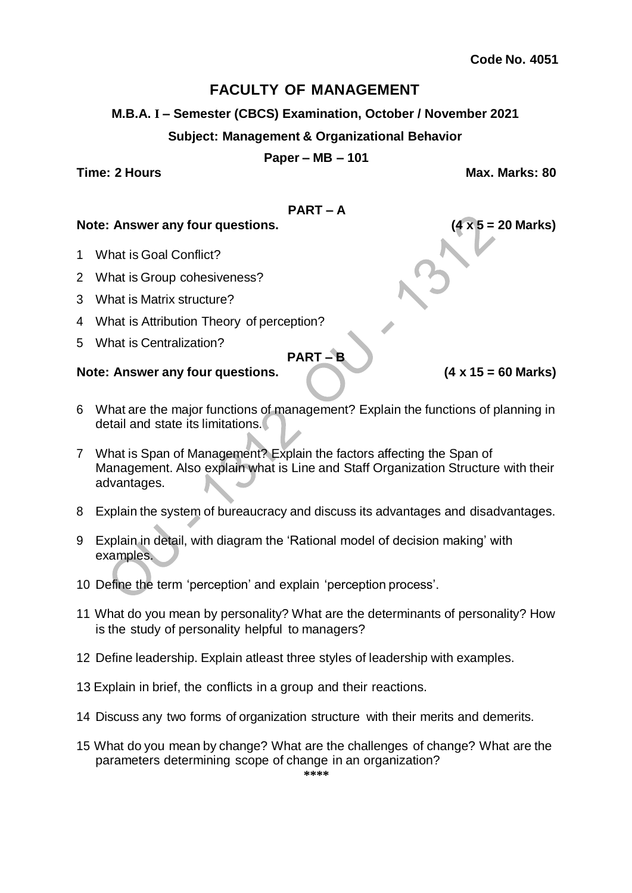**M.B.A. I – Semester (CBCS) Examination, October / November 2021**

#### **Subject: Management & Organizational Behavior**

#### **Paper – MB – 101**

**Time: 2 Hours Max. Marks: 80**

#### **PART – A**

#### **Note: Answer any four questions. (4 x 5 = 20 Marks)**

- 1 What is Goal Conflict?
- 2 What is Group cohesiveness?
- 3 What is Matrix structure?
- 4 What is Attribution Theory of perception?
- 5 What is Centralization?

# **PART – B**

- 6 What are the major functions of management? Explain the functions of planning in detail and state its limitations.
- 7 What is Span of Management? Explain the factors affecting the Span of Management. Also explain what is Line and Staff Organization Structure with their advantages.
- 8 Explain the system of bureaucracy and discuss its advantages and disadvantages.
- 9 Explain in detail, with diagram the 'Rational model of decision making' with examples.
- 10 Define the term 'perception' and explain 'perception process'.
- 11 What do you mean by personality? What are the determinants of personality? How is the study of personality helpful to managers?
- 12 Define leadership. Explain atleast three styles of leadership with examples.
- 13 Explain in brief, the conflicts in a group and their reactions.
- 14 Discuss any two forms of organization structure with their merits and demerits.
- 15 What do you mean by change? What are the challenges of change? What are the parameters determining scope of change in an organization?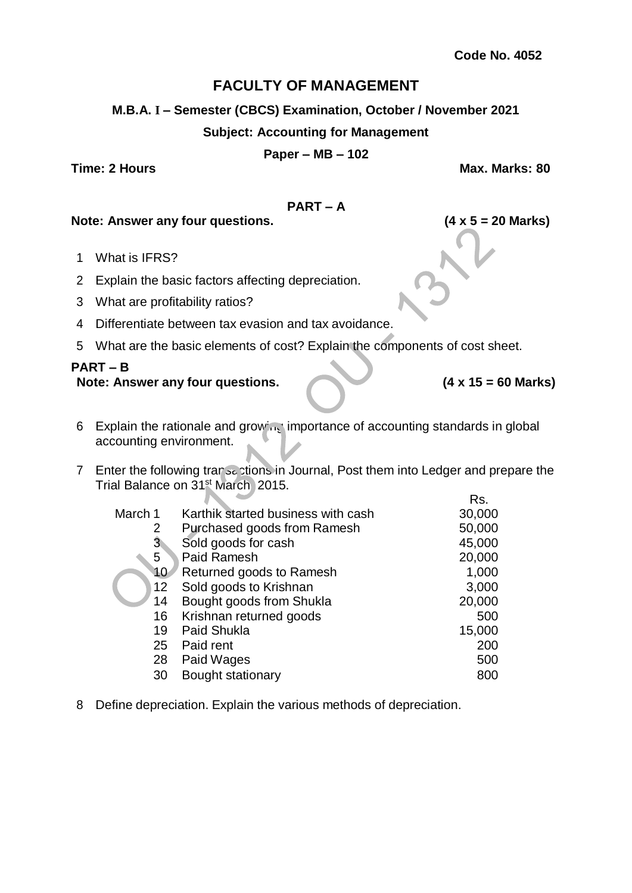### **M.B.A. I – Semester (CBCS) Examination, October / November 2021**

### **Subject: Accounting for Management**

#### **Paper – MB – 102**

**Time: 2 Hours Max. Marks: 80**

#### **PART – A**

**Note: Answer any four questions. (4 x 5 = 20 Marks)**

- 1 What is IFRS?
- 2 Explain the basic factors affecting depreciation.
- 3 What are profitability ratios?
- 4 Differentiate between tax evasion and tax avoidance.
- 5 What are the basic elements of cost? Explain the components of cost sheet.

# **PART – B**

#### **Note: Answer any four questions. (4 x 15 = 60 Marks)**

Rs.

- 6 Explain the rationale and growing importance of accounting standards in global accounting environment.
- 7 Enter the following transactions in Journal, Post them into Ledger and prepare the Trial Balance on 31st March, 2015.

|                 |                                    | .      |
|-----------------|------------------------------------|--------|
| March 1         | Karthik started business with cash | 30,000 |
| 2               | Purchased goods from Ramesh        | 50,000 |
| $3^{\circ}$     | Sold goods for cash                | 45,000 |
| 5               | Paid Ramesh                        | 20,000 |
| 10              | Returned goods to Ramesh           | 1,000  |
| 12 <sub>2</sub> | Sold goods to Krishnan             | 3,000  |
| 14              | Bought goods from Shukla           | 20,000 |
| 16              | Krishnan returned goods            | 500    |
| 19              | <b>Paid Shukla</b>                 | 15,000 |
| 25              | Paid rent                          | 200    |
| 28              | Paid Wages                         | 500    |
| 30              | Bought stationary                  | 800    |

8 Define depreciation. Explain the various methods of depreciation.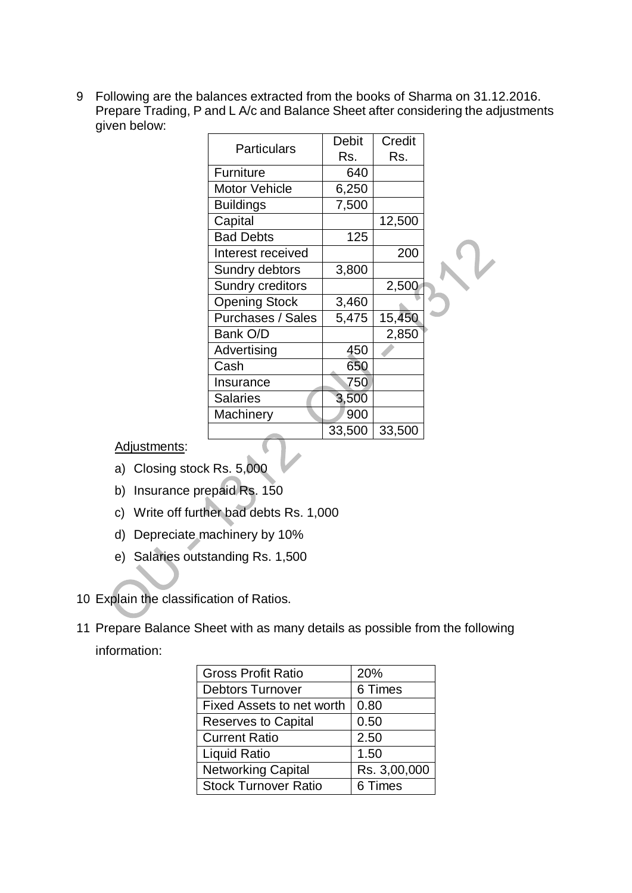9 Following are the balances extracted from the books of Sharma on 31.12.2016. Prepare Trading, P and L A/c and Balance Sheet after considering the adjustments given below:

| <b>Particulars</b>       | <b>Debit</b> | Credit |  |
|--------------------------|--------------|--------|--|
|                          | Rs.          | Rs.    |  |
| Furniture                | 640          |        |  |
| <b>Motor Vehicle</b>     | 6,250        |        |  |
| <b>Buildings</b>         | 7,500        |        |  |
| Capital                  |              | 12,500 |  |
| <b>Bad Debts</b>         | 125          |        |  |
| Interest received        |              | 200    |  |
| Sundry debtors           | 3,800        |        |  |
| Sundry creditors         |              | 2,500  |  |
| <b>Opening Stock</b>     | 3,460        |        |  |
| <b>Purchases / Sales</b> | 5,475        | 15,450 |  |
| Bank O/D                 |              | 2,850  |  |
| Advertising              | 450          |        |  |
| Cash                     | 650          |        |  |
| Insurance                | 750          |        |  |
| <b>Salaries</b>          | 3,500        |        |  |
| Machinery                | 900          |        |  |
|                          | 33,500       | 33,500 |  |

Adjustments:

- a) Closing stock Rs. 5,000
- b) Insurance prepaid Rs. 150
- c) Write off further bad debts Rs. 1,000

 $\subset$ 

- d) Depreciate machinery by 10%
- e) Salaries outstanding Rs. 1,500
- 10 Explain the classification of Ratios.
- 11 Prepare Balance Sheet with as many details as possible from the following information:

| <b>Gross Profit Ratio</b>   | 20%          |  |
|-----------------------------|--------------|--|
| <b>Debtors Turnover</b>     | 6 Times      |  |
| Fixed Assets to net worth   | 0.80         |  |
| <b>Reserves to Capital</b>  | 0.50         |  |
| <b>Current Ratio</b>        | 2.50         |  |
| Liquid Ratio                | 1.50         |  |
| <b>Networking Capital</b>   | Rs. 3,00,000 |  |
| <b>Stock Turnover Ratio</b> | 6 Times      |  |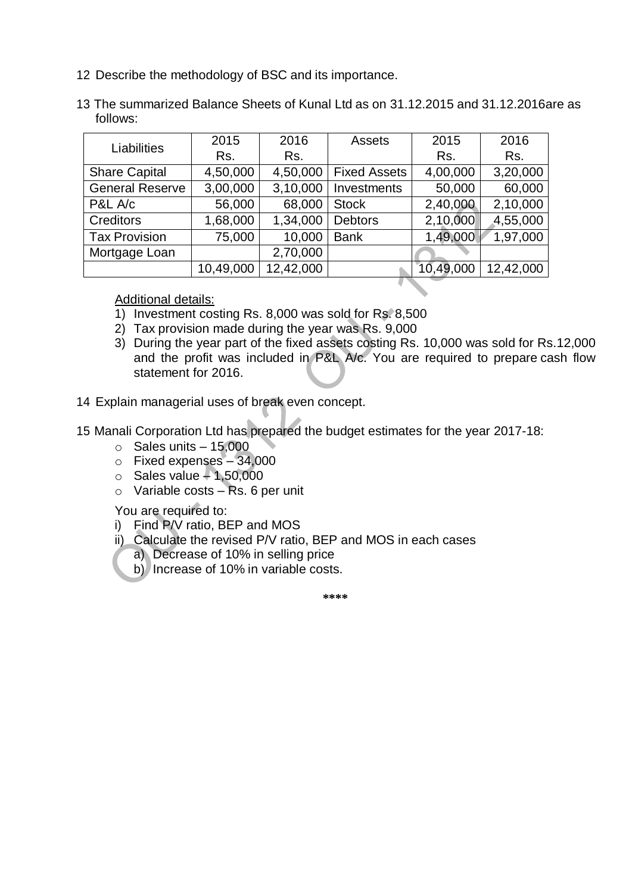- 12 Describe the methodology of BSC and its importance.
- 13 The summarized Balance Sheets of Kunal Ltd as on 31.12.2015 and 31.12.2016are as follows:

| Liabilities            | 2015      | 2016      | Assets              | 2015      | 2016      |
|------------------------|-----------|-----------|---------------------|-----------|-----------|
|                        | Rs.       | Rs.       |                     | Rs.       | Rs.       |
| <b>Share Capital</b>   | 4,50,000  | 4,50,000  | <b>Fixed Assets</b> | 4,00,000  | 3,20,000  |
| <b>General Reserve</b> | 3,00,000  | 3,10,000  | Investments         | 50,000    | 60,000    |
| P&L A/c                | 56,000    | 68,000    | <b>Stock</b>        | 2,40,000  | 2,10,000  |
| <b>Creditors</b>       | 1,68,000  | 1,34,000  | <b>Debtors</b>      | 2,10,000  | 4,55,000  |
| <b>Tax Provision</b>   | 75,000    | 10,000    | <b>Bank</b>         | 1,49,000  | 1,97,000  |
| Mortgage Loan          |           | 2,70,000  |                     |           |           |
|                        | 10,49,000 | 12,42,000 |                     | 10,49,000 | 12,42,000 |

Additional details:

- 1) Investment costing Rs. 8,000 was sold for Rs. 8,500
- 2) Tax provision made during the year was Rs. 9,000
- 3) During the year part of the fixed assets costing Rs. 10,000 was sold for Rs.12,000 and the profit was included in P&L A/c. You are required to prepare cash flow statement for 2016.
- 14 Explain managerial uses of break even concept.
- 15 Manali Corporation Ltd has prepared the budget estimates for the year 2017-18:
	- $\circ$  Sales units  $-15,000$
	- o Fixed expenses 34,000
	- $\circ$  Sales value  $-1,50,000$
	- $\circ$  Variable costs Rs. 6 per unit

You are required to:

- i) Find P/V ratio, BEP and MOS
- ii) Calculate the revised P/V ratio, BEP and MOS in each cases
	- a) Decrease of 10% in selling price
	- b) Increase of 10% in variable costs.

**\*\*\*\***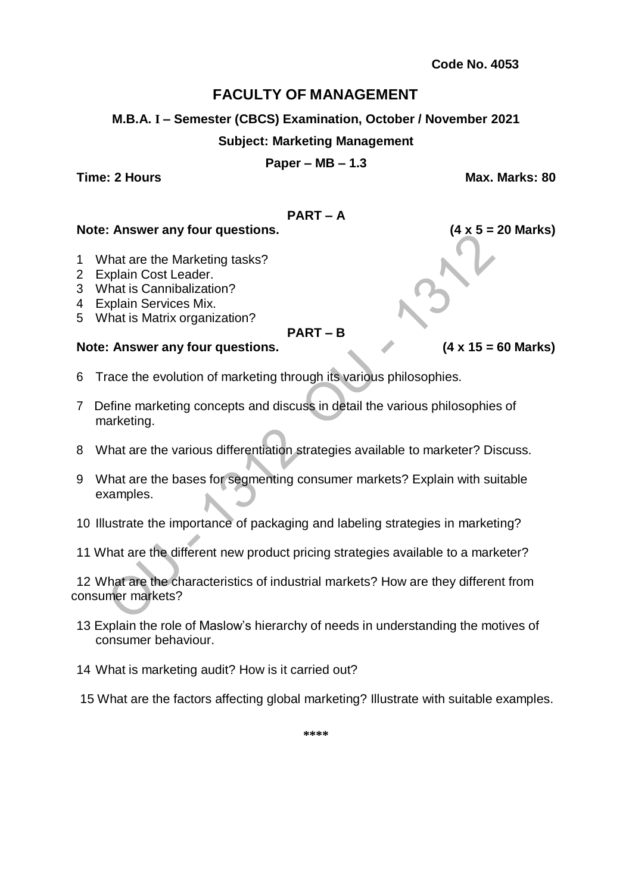**M.B.A. I – Semester (CBCS) Examination, October / November 2021**

#### **Subject: Marketing Management**

**Paper – MB – 1.3**

**Time: 2 Hours Max. Marks: 80**

### **PART – A**

#### **Note: Answer any four questions. (4 x 5 = 20 Marks)**

- 1 What are the Marketing tasks?
- 2 Explain Cost Leader.
- 3 What is Cannibalization?
- 4 Explain Services Mix.
- 5 What is Matrix organization?

**PART – B**

# **Note: Answer any four questions. (4 x 15 = 60 Marks)**

- 6 Trace the evolution of marketing through its various philosophies.
- 7 Define marketing concepts and discuss in detail the various philosophies of marketing.
- 8 What are the various differentiation strategies available to marketer? Discuss.
- 9 What are the bases for segmenting consumer markets? Explain with suitable examples.
- 10 Illustrate the importance of packaging and labeling strategies in marketing?
- 11 What are the different new product pricing strategies available to a marketer?

12 What are the characteristics of industrial markets? How are they different from consumer markets?

- 13 Explain the role of Maslow's hierarchy of needs in understanding the motives of consumer behaviour.
- 14 What is marketing audit? How is it carried out?
- 15 What are the factors affecting global marketing? Illustrate with suitable examples.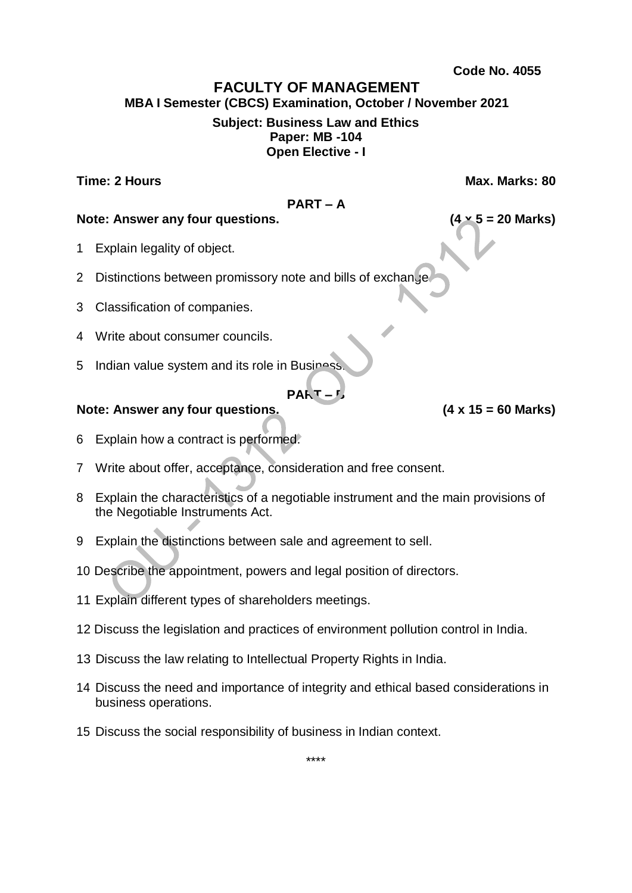# **FACULTY OF MANAGEMENT**

**MBA I Semester (CBCS) Examination, October / November 2021 Subject: Business Law and Ethics**

# **Paper: MB -104 Open Elective - I**

**Time: 2 Hours Max. Marks: 80**

### **PART – A**

### **Note: Answer any four questions. (4 x 5 = 20 Marks)**

- 1 Explain legality of object.
- 2 Distinctions between promissory note and bills of exchange
- 3 Classification of companies.
- 4 Write about consumer councils.
- 5 Indian value system and its role in Business.

# **PART**

- 6 Explain how a contract is performed.
- 7 Write about offer, acceptance, consideration and free consent.
- 8 Explain the characteristics of a negotiable instrument and the main provisions of the Negotiable Instruments Act.
- 9 Explain the distinctions between sale and agreement to sell.
- 10 Describe the appointment, powers and legal position of directors.
- 11 Explain different types of shareholders meetings.
- 12 Discuss the legislation and practices of environment pollution control in India.
- 13 Discuss the law relating to Intellectual Property Rights in India.
- 14 Discuss the need and importance of integrity and ethical based considerations in business operations.
- 15 Discuss the social responsibility of business in Indian context.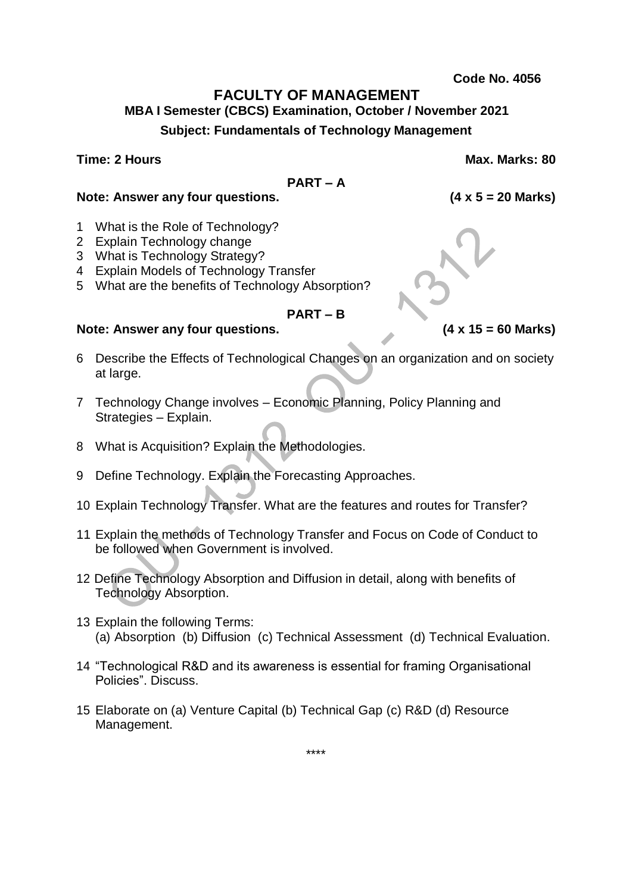# **FACULTY OF MANAGEMENT**

**MBA I Semester (CBCS) Examination, October / November 2021 Subject: Fundamentals of Technology Management**

**Time: 2 Hours Max. Marks: 80**

#### **PART – A**

**Note: Answer any four questions. (4 x 5 = 20 Marks)**

- 1 What is the Role of Technology?
- 2 Explain Technology change
- 3 What is Technology Strategy?
- 4 Explain Models of Technology Transfer
- 5 What are the benefits of Technology Absorption?

# **PART – B**

# **Note: Answer any four questions. (4 x 15 = 60 Marks)**

- 6 Describe the Effects of Technological Changes on an organization and on society at large.
- 7 Technology Change involves Economic Planning, Policy Planning and Strategies – Explain.
- 8 What is Acquisition? Explain the Methodologies.
- 9 Define Technology. Explain the Forecasting Approaches.
- 10 Explain Technology Transfer. What are the features and routes for Transfer?
- 11 Explain the methods of Technology Transfer and Focus on Code of Conduct to be followed when Government is involved.
- 12 Define Technology Absorption and Diffusion in detail, along with benefits of Technology Absorption.
- 13 Explain the following Terms: (a) Absorption (b) Diffusion (c) Technical Assessment (d) Technical Evaluation.
- 14 "Technological R&D and its awareness is essential for framing Organisational Policies". Discuss.
- 15 Elaborate on (a) Venture Capital (b) Technical Gap (c) R&D (d) Resource Management.

\*\*\*\*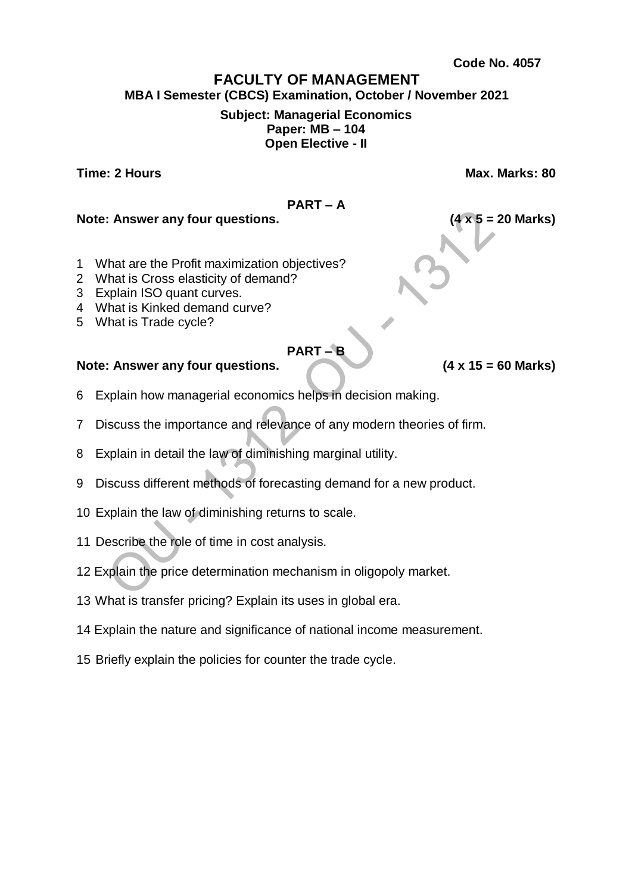# **FACULTY OF MANAGEMENT MBA I Semester (CBCS) Examination, October / November 2021 Subject: Managerial Economics Paper: MB – 104 Open Elective - II**

**Time: 2 Hours Max. Marks: 80**

**PART – A**

# **Note: Answer any four questions. (4 x 5 = 20 Marks)**

- 1 What are the Profit maximization objectives?
- 2 What is Cross elasticity of demand?
- 3 Explain ISO quant curves.
- 4 What is Kinked demand curve?
- 5 What is Trade cycle?

# **PART – B**

- 6 Explain how managerial economics helps in decision making.
- 7 Discuss the importance and relevance of any modern theories of firm.
- 8 Explain in detail the law of diminishing marginal utility.
- 9 Discuss different methods of forecasting demand for a new product.
- 10 Explain the law of diminishing returns to scale.
- 11 Describe the role of time in cost analysis.
- 12 Explain the price determination mechanism in oligopoly market.
- 13 What is transfer pricing? Explain its uses in global era.
- 14 Explain the nature and significance of national income measurement.
- 15 Briefly explain the policies for counter the trade cycle.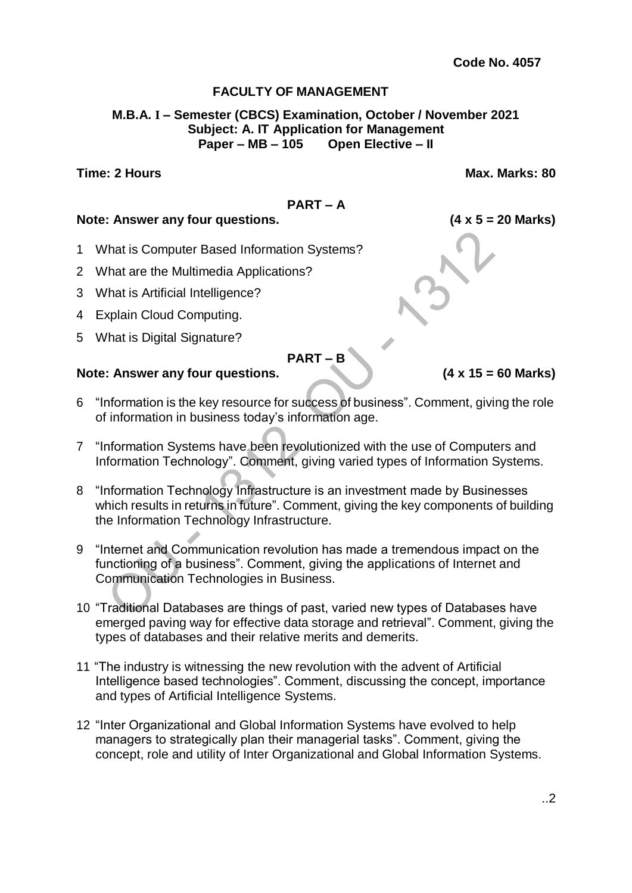#### **M.B.A. I – Semester (CBCS) Examination, October / November 2021 Subject: A. IT Application for Management Paper – MB – 105 Open Elective – II**

#### **Time: 2 Hours Max. Marks: 80**

# **PART – A**

#### **Note: Answer any four questions. (4 x 5 = 20 Marks)**

- 1 What is Computer Based Information Systems?
- 2 What are the Multimedia Applications?
- 3 What is Artificial Intelligence?
- 4 Explain Cloud Computing.
- 5 What is Digital Signature?

**PART – B**

- 6 "Information is the key resource for success of business". Comment, giving the role of information in business today's information age.
- 7 "Information Systems have been revolutionized with the use of Computers and Information Technology". Comment, giving varied types of Information Systems.
- 8 "Information Technology Infrastructure is an investment made by Businesses which results in returns in future". Comment, giving the key components of building the Information Technology Infrastructure.
- 9 "Internet and Communication revolution has made a tremendous impact on the functioning of a business". Comment, giving the applications of Internet and Communication Technologies in Business.
- 10 "Traditional Databases are things of past, varied new types of Databases have emerged paving way for effective data storage and retrieval". Comment, giving the types of databases and their relative merits and demerits.
- 11 "The industry is witnessing the new revolution with the advent of Artificial Intelligence based technologies". Comment, discussing the concept, importance and types of Artificial Intelligence Systems.
- 12 "Inter Organizational and Global Information Systems have evolved to help managers to strategically plan their managerial tasks". Comment, giving the concept, role and utility of Inter Organizational and Global Information Systems.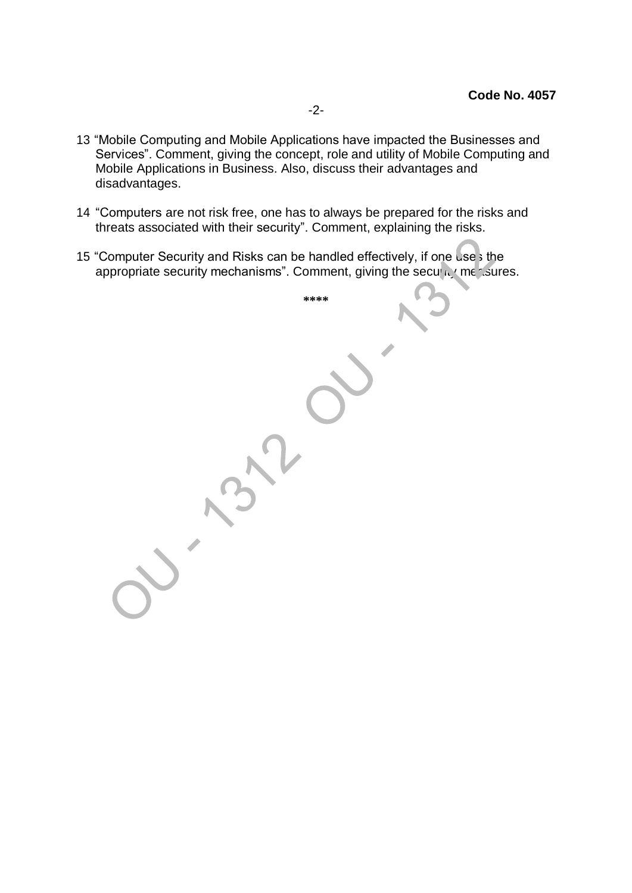- 13 "Mobile Computing and Mobile Applications have impacted the Businesses and Services". Comment, giving the concept, role and utility of Mobile Computing and Mobile Applications in Business. Also, discuss their advantages and disadvantages.
- 14 "Computers are not risk free, one has to always be prepared for the risks and threats associated with their security". Comment, explaining the risks.
- 15 "Computer Security and Risks can be handled effectively, if one use's the appropriate security mechanisms". Comment, giving the security measures.

**\*\*\*\***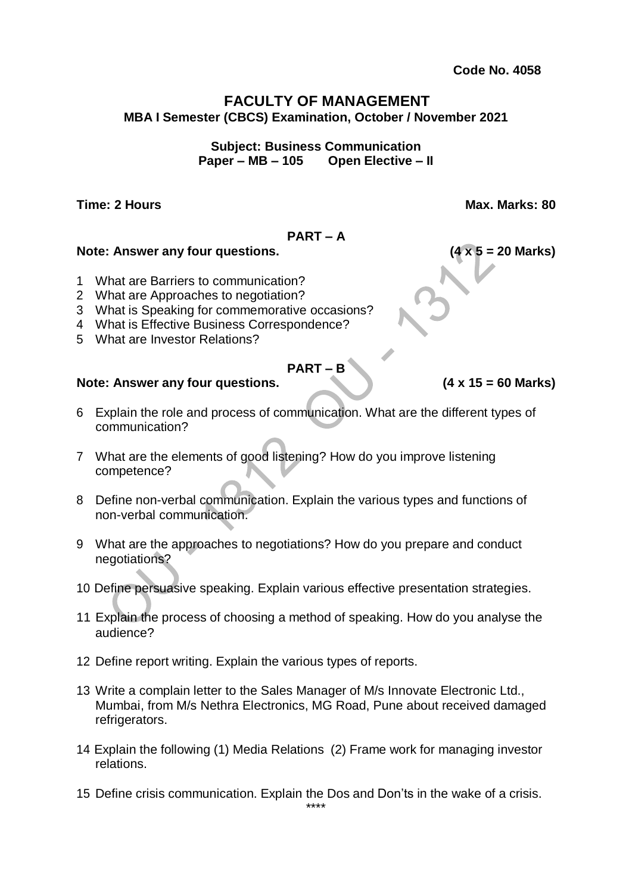# **FACULTY OF MANAGEMENT MBA I Semester (CBCS) Examination, October / November 2021**

**Subject: Business Communication Paper – MB – 105 Open Elective – II**

**Time: 2 Hours Max. Marks: 80**

#### **PART – A**

#### **Note: Answer any four questions. (4 x 5 = 20 Marks)**

- 1 What are Barriers to communication?
- 2 What are Approaches to negotiation?
- 3 What is Speaking for commemorative occasions?
- 4 What is Effective Business Correspondence?
- 5 What are Investor Relations?

### **PART – B**

- 6 Explain the role and process of communication. What are the different types of communication?
- 7 What are the elements of good listening? How do you improve listening competence?
- 8 Define non-verbal communication. Explain the various types and functions of non-verbal communication.
- 9 What are the approaches to negotiations? How do you prepare and conduct negotiations?
- 10 Define persuasive speaking. Explain various effective presentation strategies.
- 11 Explain the process of choosing a method of speaking. How do you analyse the audience?
- 12 Define report writing. Explain the various types of reports.
- 13 Write a complain letter to the Sales Manager of M/s Innovate Electronic Ltd., Mumbai, from M/s Nethra Electronics, MG Road, Pune about received damaged refrigerators.
- 14 Explain the following (1) Media Relations (2) Frame work for managing investor relations.
- 15 Define crisis communication. Explain the Dos and Don'ts in the wake of a crisis.